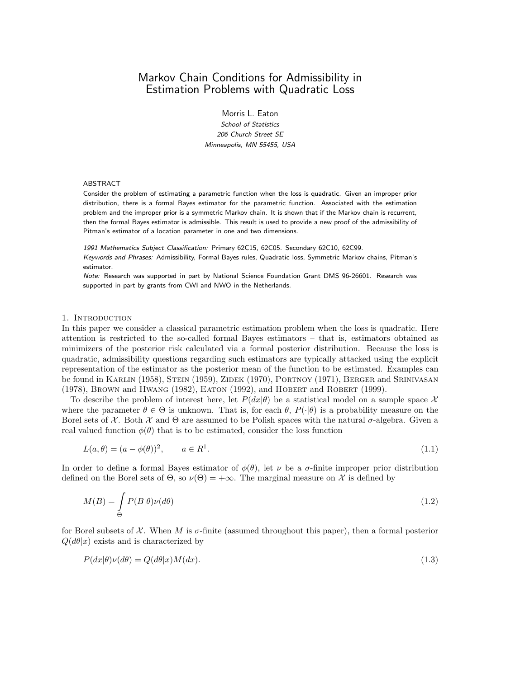# Markov Chain Conditions for Admissibility in Estimation Problems with Quadratic Loss

Morris L. Eaton School of Statistics 206 Church Street SE Minneapolis, MN 55455, USA

## ABSTRACT

Consider the problem of estimating a parametric function when the loss is quadratic. Given an improper prior distribution, there is a formal Bayes estimator for the parametric function. Associated with the estimation problem and the improper prior is a symmetric Markov chain. It is shown that if the Markov chain is recurrent, then the formal Bayes estimator is admissible. This result is used to provide a new proof of the admissibility of Pitman's estimator of a location parameter in one and two dimensions.

1991 Mathematics Subject Classification: Primary 62C15, 62C05. Secondary 62C10, 62C99. Keywords and Phrases: Admissibility, Formal Bayes rules, Quadratic loss, Symmetric Markov chains, Pitman's estimator.

Note: Research was supported in part by National Science Foundation Grant DMS 96-26601. Research was supported in part by grants from CWI and NWO in the Netherlands.

#### 1. INTRODUCTION

In this paper we consider a classical parametric estimation problem when the loss is quadratic. Here attention is restricted to the so-called formal Bayes estimators – that is, estimators obtained as minimizers of the posterior risk calculated via a formal posterior distribution. Because the loss is quadratic, admissibility questions regarding such estimators are typically attacked using the explicit representation of the estimator as the posterior mean of the function to be estimated. Examples can be found in KARLIN (1958), STEIN (1959), ZIDEK (1970), PORTNOY (1971), BERGER and SRINIVASAN (1978), Brown and Hwang (1982), Eaton (1992), and Hobert and Robert (1999).

To describe the problem of interest here, let  $P(dx|\theta)$  be a statistical model on a sample space X where the parameter  $\theta \in \Theta$  is unknown. That is, for each  $\theta$ ,  $P(\cdot|\theta)$  is a probability measure on the Borel sets of  $\mathcal X$ . Both  $\mathcal X$  and  $\Theta$  are assumed to be Polish spaces with the natural  $\sigma$ -algebra. Given a real valued function  $\phi(\theta)$  that is to be estimated, consider the loss function

$$
L(a,\theta) = (a - \phi(\theta))^2, \qquad a \in R^1. \tag{1.1}
$$

In order to define a formal Bayes estimator of  $\phi(\theta)$ , let  $\nu$  be a  $\sigma$ -finite improper prior distribution defined on the Borel sets of  $\Theta$ , so  $\nu(\Theta) = +\infty$ . The marginal measure on X is defined by

$$
M(B) = \int_{\Theta} P(B|\theta)\nu(d\theta)
$$
\n(1.2)

for Borel subsets of  $\mathcal X$ . When M is  $\sigma$ -finite (assumed throughout this paper), then a formal posterior  $Q(d\theta|x)$  exists and is characterized by

$$
P(dx|\theta)\nu(d\theta) = Q(d\theta|x)M(dx).
$$
\n(1.3)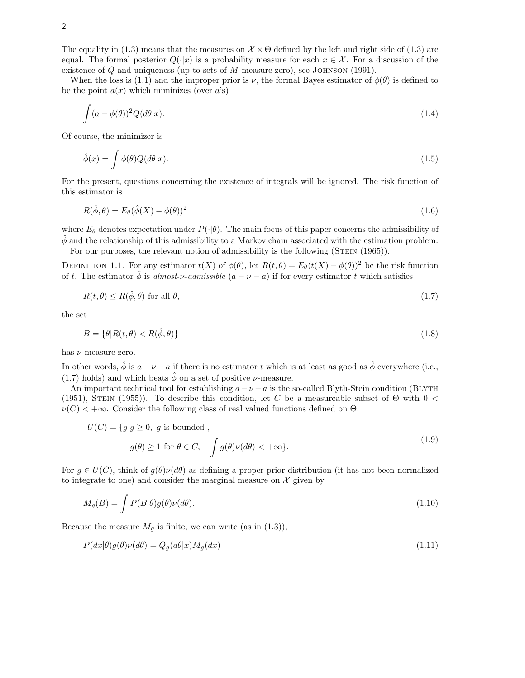The equality in (1.3) means that the measures on  $\mathcal{X} \times \Theta$  defined by the left and right side of (1.3) are equal. The formal posterior  $Q(\cdot|x)$  is a probability measure for each  $x \in \mathcal{X}$ . For a discussion of the existence of  $Q$  and uniqueness (up to sets of  $M$ -measure zero), see JOHNSON (1991).

When the loss is (1.1) and the improper prior is  $\nu$ , the formal Bayes estimator of  $\phi(\theta)$  is defined to be the point  $a(x)$  which miminizes (over  $a$ 's)

$$
\int (a - \phi(\theta))^2 Q(d\theta|x). \tag{1.4}
$$

Of course, the minimizer is

$$
\hat{\phi}(x) = \int \phi(\theta) Q(d\theta | x). \tag{1.5}
$$

For the present, questions concerning the existence of integrals will be ignored. The risk function of this estimator is

$$
R(\hat{\phi}, \theta) = E_{\theta}(\hat{\phi}(X) - \phi(\theta))^2
$$
\n(1.6)

where  $E_{\theta}$  denotes expectation under  $P(\cdot|\theta)$ . The main focus of this paper concerns the admissibility of  $\hat{\phi}$  and the relationship of this admissibility to a Markov chain associated with the estimation problem.

For our purposes, the relevant notion of admissibility is the following (STEIN (1965)).

DEFINITION 1.1. For any estimator  $t(X)$  of  $\phi(\theta)$ , let  $R(t, \theta) = E_{\theta}(t(X) - \phi(\theta))^2$  be the risk function of t. The estimator  $\hat{\phi}$  is almost-v-admissible  $(a - \nu - a)$  if for every estimator t which satisfies

$$
R(t,\theta) \le R(\hat{\phi},\theta) \text{ for all } \theta,\tag{1.7}
$$

the set

$$
B = \{\theta | R(t, \theta) < R(\hat{\phi}, \theta)\}\tag{1.8}
$$

has  $\nu$ -measure zero.

In other words,  $\hat{\phi}$  is  $a - \nu - a$  if there is no estimator t which is at least as good as  $\hat{\phi}$  everywhere (i.e., (1.7) holds) and which beats  $\hat{\phi}$  on a set of positive *v*-measure.

An important technical tool for establishing  $a - \nu - a$  is the so-called Blyth-Stein condition (BLYTH (1951), STEIN (1955)). To describe this condition, let C be a measureable subset of  $\Theta$  with 0 <  $\nu(C)$  < + $\infty$ . Consider the following class of real valued functions defined on  $\Theta$ :

$$
U(C) = \{g|g \ge 0, g \text{ is bounded },
$$
  

$$
g(\theta) \ge 1 \text{ for } \theta \in C, \quad \int g(\theta)\nu(d\theta) < +\infty \}.
$$
 (1.9)

For  $g \in U(C)$ , think of  $g(\theta)\nu(d\theta)$  as defining a proper prior distribution (it has not been normalized to integrate to one) and consider the marginal measure on  $\mathcal X$  given by

$$
M_g(B) = \int P(B|\theta)g(\theta)\nu(d\theta). \tag{1.10}
$$

Because the measure  $M_q$  is finite, we can write (as in (1.3)),

$$
P(dx|\theta)g(\theta)\nu(d\theta) = Q_g(d\theta|x)M_g(dx)
$$
\n(1.11)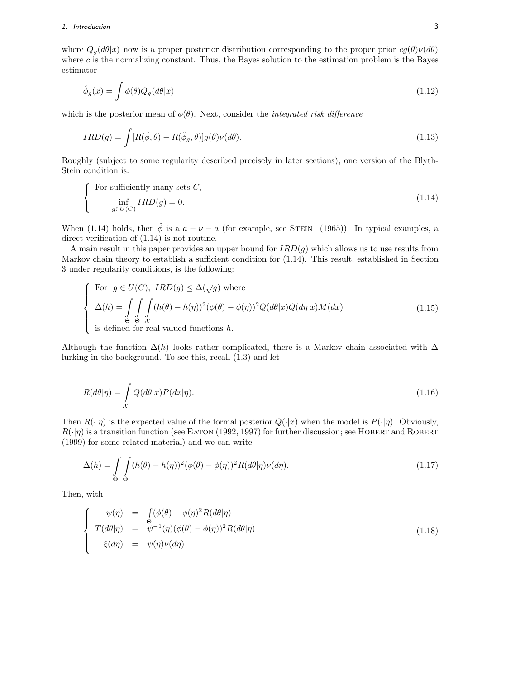where  $Q_g(d\theta|x)$  now is a proper posterior distribution corresponding to the proper prior  $cg(\theta)\nu(d\theta)$ where  $c$  is the normalizing constant. Thus, the Bayes solution to the estimation problem is the Bayes estimator

$$
\hat{\phi}_g(x) = \int \phi(\theta) Q_g(d\theta|x)
$$
\n(1.12)

which is the posterior mean of  $\phi(\theta)$ . Next, consider the *integrated risk difference* 

$$
IRD(g) = \int [R(\hat{\phi}, \theta) - R(\hat{\phi}_g, \theta)]g(\theta)\nu(d\theta).
$$
\n(1.13)

Roughly (subject to some regularity described precisely in later sections), one version of the Blyth-Stein condition is:

$$
\begin{cases}\n\text{For sufficiently many sets } C, \\
\inf_{g \in U(C)} IRD(g) = 0.\n\end{cases}
$$
\n(1.14)

When (1.14) holds, then  $\hat{\phi}$  is a  $a - \nu - a$  (for example, see STEIN (1965)). In typical examples, a direct verification of (1.14) is not routine.

A main result in this paper provides an upper bound for  $IRD(g)$  which allows us to use results from Markov chain theory to establish a sufficient condition for (1.14). This result, established in Section 3 under regularity conditions, is the following:

For 
$$
g \in U(C)
$$
,  $IRD(g) \le \Delta(\sqrt{g})$  where  
\n
$$
\Delta(h) = \int_{\Theta} \int_{\Theta} \int_{\mathcal{X}} (h(\theta) - h(\eta))^2 (\phi(\theta) - \phi(\eta))^2 Q(d\theta|x) Q(d\eta|x) M(dx)
$$
\nis defined for real valued functions h. (1.15)

Although the function  $\Delta(h)$  looks rather complicated, there is a Markov chain associated with  $\Delta$ lurking in the background. To see this, recall (1.3) and let

$$
R(d\theta|\eta) = \int_{\mathcal{X}} Q(d\theta|x) P(dx|\eta). \tag{1.16}
$$

Then  $R(\cdot|\eta)$  is the expected value of the formal posterior  $Q(\cdot|x)$  when the model is  $P(\cdot|\eta)$ . Obviously,  $R(\cdot|\eta)$  is a transition function (see EATON (1992, 1997) for further discussion; see HOBERT and ROBERT (1999) for some related material) and we can write

$$
\Delta(h) = \int_{\Theta} \int_{\Theta} (h(\theta) - h(\eta))^2 (\phi(\theta) - \phi(\eta))^2 R(d\theta|\eta) \nu(d\eta).
$$
 (1.17)

Then, with

$$
\begin{cases}\n\psi(\eta) = \int_{\Theta} (\phi(\theta) - \phi(\eta)^2 R(d\theta|\eta)) \\
T(d\theta|\eta) = \psi^{-1}(\eta)(\phi(\theta) - \phi(\eta))^2 R(d\theta|\eta) \\
\xi(d\eta) = \psi(\eta)\nu(d\eta)\n\end{cases}
$$
\n(1.18)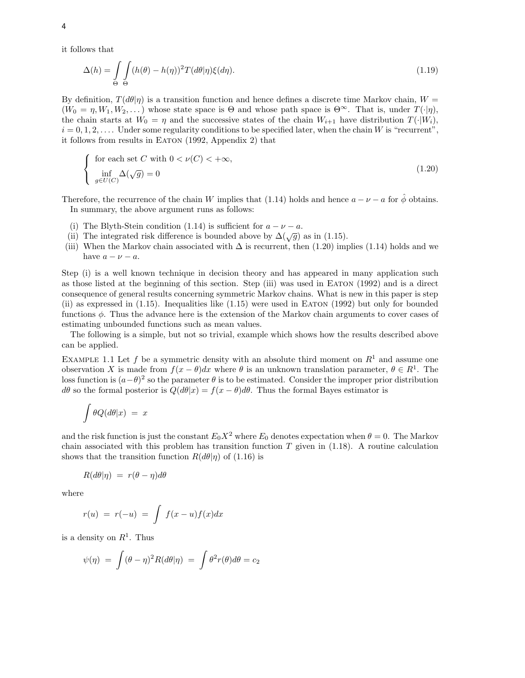it follows that

$$
\Delta(h) = \int_{\Theta} \int_{\Theta} (h(\theta) - h(\eta))^2 T(d\theta | \eta) \xi(d\eta).
$$
\n(1.19)

By definition,  $T(d\theta|\eta)$  is a transition function and hence defines a discrete time Markov chain,  $W =$  $(W_0 = \eta, W_1, W_2, \dots)$  whose state space is  $\Theta$  and whose path space is  $\Theta^{\infty}$ . That is, under  $T(\cdot|\eta)$ , the chain starts at  $W_0 = \eta$  and the successive states of the chain  $W_{i+1}$  have distribution  $T(\cdot|W_i)$ ,  $i = 0, 1, 2, \ldots$  Under some regularity conditions to be specified later, when the chain W is "recurrent", it follows from results in EATON (1992, Appendix 2) that

$$
\begin{cases}\n\text{ for each set } C \text{ with } 0 < \nu(C) < +\infty, \\
\inf_{g \in U(C)} \Delta(\sqrt{g}) = 0\n\end{cases} \tag{1.20}
$$

Therefore, the recurrence of the chain W implies that (1.14) holds and hence  $a - \nu - a$  for  $\hat{\phi}$  obtains. In summary, the above argument runs as follows:

- (i) The Blyth-Stein condition (1.14) is sufficient for  $a \nu a$ .
- (ii) The integrated risk difference is bounded above by  $\Delta(\sqrt{g})$  as in (1.15).
- (iii) When the Markov chain associated with  $\Delta$  is recurrent, then (1.20) implies (1.14) holds and we have  $a - \nu - a$ .

Step (i) is a well known technique in decision theory and has appeared in many application such as those listed at the beginning of this section. Step (iii) was used in Eaton (1992) and is a direct consequence of general results concerning symmetric Markov chains. What is new in this paper is step (ii) as expressed in (1.15). Inequalities like (1.15) were used in Eaton (1992) but only for bounded functions  $\phi$ . Thus the advance here is the extension of the Markov chain arguments to cover cases of estimating unbounded functions such as mean values.

The following is a simple, but not so trivial, example which shows how the results described above can be applied.

EXAMPLE 1.1 Let f be a symmetric density with an absolute third moment on  $R<sup>1</sup>$  and assume one observation X is made from  $f(x - \theta)dx$  where  $\theta$  is an unknown translation parameter,  $\theta \in R^1$ . The loss function is  $(a-\theta)^2$  so the parameter  $\theta$  is to be estimated. Consider the improper prior distribution dθ so the formal posterior is Q(dθ*|*x) = f(x *−* θ)dθ. Thus the formal Bayes estimator is

$$
\int \theta Q(d\theta|x) \ = \ x
$$

and the risk function is just the constant  $E_0X^2$  where  $E_0$  denotes expectation when  $\theta = 0$ . The Markov chain associated with this problem has transition function  $T$  given in (1.18). A routine calculation shows that the transition function  $R(d\theta|\eta)$  of (1.16) is

$$
R(d\theta|\eta) = r(\theta - \eta)d\theta
$$

where

$$
r(u) = r(-u) = \int f(x-u)f(x)dx
$$

is a density on  $R^1$ . Thus

$$
\psi(\eta) = \int (\theta - \eta)^2 R(d\theta | \eta) = \int \theta^2 r(\theta) d\theta = c_2
$$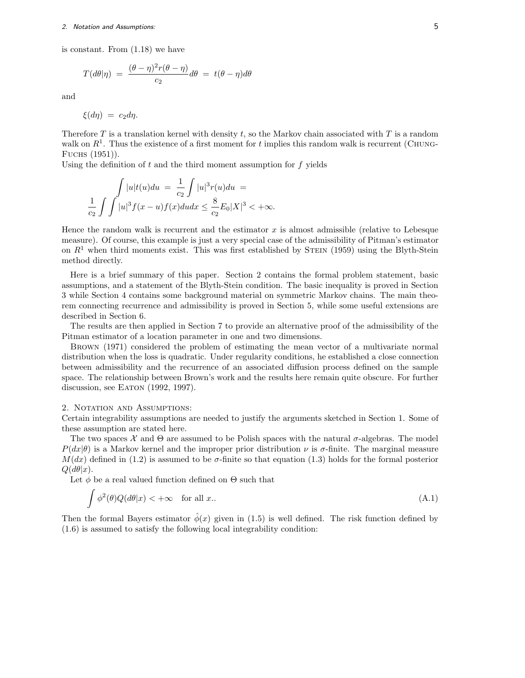is constant. From (1.18) we have

$$
T(d\theta|\eta) = \frac{(\theta - \eta)^2 r(\theta - \eta)}{c_2} d\theta = t(\theta - \eta) d\theta
$$

and

 $\xi(d\eta) = c_2 d\eta.$ 

Therefore  $T$  is a translation kernel with density  $t$ , so the Markov chain associated with  $T$  is a random walk on  $R<sup>1</sup>$ . Thus the existence of a first moment for t implies this random walk is recurrent (CHUNG-Fuchs (1951)).

Using the definition of  $t$  and the third moment assumption for  $f$  yields

$$
\int_{C_2} |u|t(u)du = \frac{1}{c_2} \int |u|^3 r(u)du = \frac{1}{c_2} \int |u|^3 f(x-u) f(x) du dx \le \frac{8}{c_2} E_0 |X|^3 < +\infty.
$$

Hence the random walk is recurrent and the estimator  $x$  is almost admissible (relative to Lebesque measure). Of course, this example is just a very special case of the admissibility of Pitman's estimator on  $R<sup>1</sup>$  when third moments exist. This was first established by STEIN (1959) using the Blyth-Stein method directly.

Here is a brief summary of this paper. Section 2 contains the formal problem statement, basic assumptions, and a statement of the Blyth-Stein condition. The basic inequality is proved in Section 3 while Section 4 contains some background material on symmetric Markov chains. The main theorem connecting recurrence and admissibility is proved in Section 5, while some useful extensions are described in Section 6.

The results are then applied in Section 7 to provide an alternative proof of the admissibility of the Pitman estimator of a location parameter in one and two dimensions.

Brown (1971) considered the problem of estimating the mean vector of a multivariate normal distribution when the loss is quadratic. Under regularity conditions, he established a close connection between admissibility and the recurrence of an associated diffusion process defined on the sample space. The relationship between Brown's work and the results here remain quite obscure. For further discussion, see Eaton (1992, 1997).

#### 2. NOTATION AND ASSUMPTIONS:

Certain integrability assumptions are needed to justify the arguments sketched in Section 1. Some of these assumption are stated here.

The two spaces  $\mathcal X$  and  $\Theta$  are assumed to be Polish spaces with the natural  $\sigma$ -algebras. The model  $P(dx|\theta)$  is a Markov kernel and the improper prior distribution  $\nu$  is  $\sigma$ -finite. The marginal measure  $M(dx)$  defined in (1.2) is assumed to be  $\sigma$ -finite so that equation (1.3) holds for the formal posterior  $Q(d\theta|x)$ .

Let  $\phi$  be a real valued function defined on  $\Theta$  such that

$$
\int \phi^2(\theta) Q(d\theta | x) < +\infty \quad \text{for all } x. \tag{A.1}
$$

Then the formal Bayers estimator  $\hat{\phi}(x)$  given in (1.5) is well defined. The risk function defined by (1.6) is assumed to satisfy the following local integrability condition: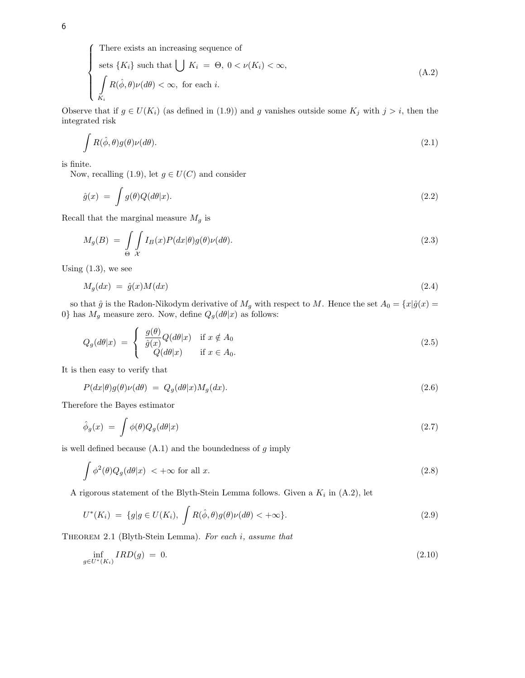There exists an increasing sequence of

sets 
$$
\{K_i\}
$$
 such that  $\bigcup K_i = \Theta, 0 < \nu(K_i) < \infty$ ,  

$$
\int_{K_i} R(\hat{\phi}, \theta) \nu(d\theta) < \infty, \text{ for each } i.
$$
 (A.2)

Observe that if  $g \in U(K_i)$  (as defined in (1.9)) and g vanishes outside some  $K_j$  with  $j>i$ , then the integrated risk

$$
\int R(\hat{\phi}, \theta) g(\theta) \nu(d\theta). \tag{2.1}
$$

is finite.

Now, recalling (1.9), let  $g \in U(C)$  and consider

$$
\hat{g}(x) = \int g(\theta)Q(d\theta|x). \tag{2.2}
$$

Recall that the marginal measure  $M_g$  is

$$
M_g(B) = \int\limits_{\Theta} \int\limits_{\mathcal{X}} I_B(x) P(dx|\theta) g(\theta) \nu(d\theta). \tag{2.3}
$$

Using  $(1.3)$ , we see

$$
M_g(dx) = \hat{g}(x)M(dx) \tag{2.4}
$$

so that  $\hat{g}$  is the Radon-Nikodym derivative of  $M_g$  with respect to M. Hence the set  $A_0 = \{x | \hat{g}(x) =$ 0} has  $M_g$  measure zero. Now, define  $Q_g(d\theta|x)$  as follows:

$$
Q_g(d\theta|x) = \begin{cases} \frac{g(\theta)}{\hat{g}(x)}Q(d\theta|x) & \text{if } x \notin A_0\\ Q(d\theta|x) & \text{if } x \in A_0. \end{cases}
$$
\n(2.5)

It is then easy to verify that

$$
P(dx|\theta)g(\theta)\nu(d\theta) = Q_g(d\theta|x)M_g(dx).
$$
\n(2.6)

Therefore the Bayes estimator

$$
\hat{\phi}_g(x) = \int \phi(\theta) Q_g(d\theta|x) \tag{2.7}
$$

is well defined because  $(A.1)$  and the boundedness of  $g$  imply

$$
\int \phi^2(\theta) Q_g(d\theta | x) \, < +\infty \text{ for all } x. \tag{2.8}
$$

A rigorous statement of the Blyth-Stein Lemma follows. Given a  $K_i$  in (A.2), let

$$
U^*(K_i) = \{g | g \in U(K_i), \int R(\hat{\phi}, \theta) g(\theta) \nu(d\theta) < +\infty\}.
$$
\n(2.9)

THEOREM 2.1 (Blyth-Stein Lemma). For each i, assume that

$$
\inf_{g \in U^*(K_i)} IRD(g) = 0. \tag{2.10}
$$

 $\sqrt{ }$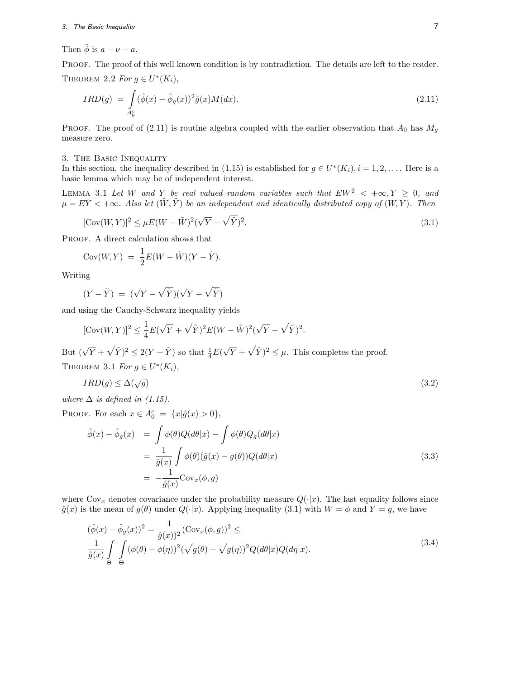Then  $\hat{\phi}$  is  $a - \nu - a$ .

PROOF. The proof of this well known condition is by contradiction. The details are left to the reader. THEOREM 2.2 For  $g \in U^*(K_i)$ ,

$$
IRD(g) = \int_{A_0^c} (\hat{\phi}(x) - \hat{\phi}_g(x))^2 \hat{g}(x) M(dx).
$$
\n(2.11)

PROOF. The proof of (2.11) is routine algebra coupled with the earlier observation that  $A_0$  has  $M_g$ measure zero.

### 3. The Basic Inequality

In this section, the inequality described in (1.15) is established for  $g \in U^*(K_i)$ ,  $i = 1, 2, \ldots$ . Here is a basic lemma which may be of independent interest.

LEMMA 3.1 Let W and Y be real valued random variables such that  $EW^2 < +\infty, Y \ge 0$ , and  $\mu = EY < +\infty$ . Also let  $(\tilde{W}, \tilde{Y})$  be an independent and identically distributed copy of  $(W, Y)$ . Then

$$
[\text{Cov}(W, Y)]^2 \le \mu E(W - \tilde{W})^2 (\sqrt{Y} - \sqrt{\tilde{Y}})^2. \tag{3.1}
$$

PROOF. A direct calculation shows that

Cov
$$
(W, Y) = \frac{1}{2}E(W - \tilde{W})(Y - \tilde{Y}).
$$

Writing

$$
(Y - \tilde{Y}) = (\sqrt{Y} - \sqrt{\tilde{Y}})(\sqrt{Y} + \sqrt{\tilde{Y}})
$$

and using the Cauchy-Schwarz inequality yields

$$
[\mathrm{Cov}(W,Y)]^2 \leq \frac{1}{4}E(\sqrt{Y} + \sqrt{\tilde{Y}})^2E(W - \tilde{W})^2(\sqrt{Y} - \sqrt{\tilde{Y}})^2.
$$

But  $(\sqrt{Y} + \sqrt{\tilde{Y}})^2 \leq 2(Y + \tilde{Y})$  so that  $\frac{1}{4}E(\tilde{Y})$ *√*  $\overline{Y} + \sqrt{\tilde{Y}}$ <sup>2</sup>  $\leq \mu$ . This completes the proof. THEOREM 3.1 For  $g \in U^*(K_i)$ ,

$$
IRD(g) \le \Delta(\sqrt{g})\tag{3.2}
$$

where  $\Delta$  is defined in (1.15).

PROOF. For each  $x \in A_0^c = \{x | \hat{g}(x) > 0\},\$ 

$$
\hat{\phi}(x) - \hat{\phi}_g(x) = \int \phi(\theta) Q(d\theta|x) - \int \phi(\theta) Q_g(d\theta|x)
$$
  
\n
$$
= \frac{1}{\hat{g}(x)} \int \phi(\theta) (\hat{g}(x) - g(\theta)) Q(d\theta|x)
$$
  
\n
$$
= -\frac{1}{\hat{g}(x)} \text{Cov}_x(\phi, g)
$$
\n(3.3)

where  $Cov_x$  denotes covariance under the probability measure  $Q(\cdot|x)$ . The last equality follows since  $\hat{g}(x)$  is the mean of  $g(\theta)$  under  $Q(\cdot|x)$ . Applying inequality (3.1) with  $W = \phi$  and  $Y = g$ , we have

$$
(\hat{\phi}(x) - \hat{\phi}_g(x))^2 = \frac{1}{\hat{g}(x))^2} (\text{Cov}_x(\phi, g))^2 \le
$$
  

$$
\frac{1}{\hat{g}(x)} \int_{\Theta} \int_{\Theta} (\phi(\theta) - \phi(\eta))^2 (\sqrt{g(\theta)} - \sqrt{g(\eta)})^2 Q(d\theta|x) Q(d\eta|x). \tag{3.4}
$$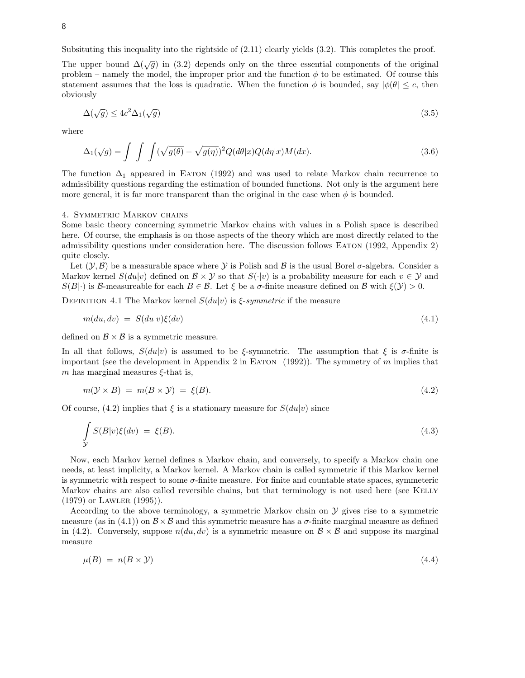Subsituting this inequality into the rightside of (2.11) clearly yields (3.2). This completes the proof.

The upper bound  $\Delta(\sqrt{g})$  in (3.2) depends only on the three essential components of the original problem – namely the model, the improper prior and the function  $\phi$  to be estimated. Of course this statement assumes that the loss is quadratic. When the function  $\phi$  is bounded, say  $|\phi(\theta)| \leq c$ , then obviously

$$
\Delta(\sqrt{g}) \le 4c^2 \Delta_1(\sqrt{g})\tag{3.5}
$$

where

$$
\Delta_1(\sqrt{g}) = \int \int \int (\sqrt{g(\theta)} - \sqrt{g(\eta)})^2 Q(d\theta|x)Q(d\eta|x)M(dx).
$$
\n(3.6)

The function  $\Delta_1$  appeared in EATON (1992) and was used to relate Markov chain recurrence to admissibility questions regarding the estimation of bounded functions. Not only is the argument here more general, it is far more transparent than the original in the case when  $\phi$  is bounded.

#### 4. Symmetric Markov chains

Some basic theory concerning symmetric Markov chains with values in a Polish space is described here. Of course, the emphasis is on those aspects of the theory which are most directly related to the admissibility questions under consideration here. The discussion follows Eaton (1992, Appendix 2) quite closely.

Let  $(Y, \mathcal{B})$  be a measurable space where *Y* is Polish and *B* is the usual Borel  $\sigma$ -algebra. Consider a Markov kernel  $S(du|v)$  defined on  $\mathcal{B} \times \mathcal{Y}$  so that  $S(\cdot|v)$  is a probability measure for each  $v \in \mathcal{Y}$  and  $S(B|\cdot)$  is *B*-measureable for each  $B \in \mathcal{B}$ . Let  $\xi$  be a  $\sigma$ -finite measure defined on  $\mathcal{B}$  with  $\xi(\mathcal{Y}) > 0$ .

DEFINITION 4.1 The Markov kernel  $S(du|v)$  is  $\xi$ -symmetric if the measure

$$
m(du, dv) = S(du|v)\xi(dv) \tag{4.1}
$$

defined on  $\mathcal{B} \times \mathcal{B}$  is a symmetric measure.

In all that follows,  $S(du|v)$  is assumed to be ξ-symmetric. The assumption that  $\xi$  is  $\sigma$ -finite is important (see the development in Appendix 2 in EATON  $(1992)$ ). The symmetry of m implies that m has marginal measures  $\xi$ -that is,

$$
m(\mathcal{Y} \times B) = m(B \times \mathcal{Y}) = \xi(B). \tag{4.2}
$$

Of course, (4.2) implies that  $\xi$  is a stationary measure for  $S(du|v)$  since

$$
\int_{\mathcal{Y}} S(B|v)\xi(dv) = \xi(B). \tag{4.3}
$$

Now, each Markov kernel defines a Markov chain, and conversely, to specify a Markov chain one needs, at least implicity, a Markov kernel. A Markov chain is called symmetric if this Markov kernel is symmetric with respect to some  $\sigma$ -finite measure. For finite and countable state spaces, symmeteric Markov chains are also called reversible chains, but that terminology is not used here (see KELLY (1979) or Lawler (1995)).

According to the above terminology, a symmetric Markov chain on *Y* gives rise to a symmetric measure (as in (4.1)) on  $\mathcal{B} \times \mathcal{B}$  and this symmetric measure has a  $\sigma$ -finite marginal measure as defined in (4.2). Conversely, suppose  $n(du, dv)$  is a symmetric measure on  $\mathcal{B} \times \mathcal{B}$  and suppose its marginal measure

$$
\mu(B) = n(B \times \mathcal{Y}) \tag{4.4}
$$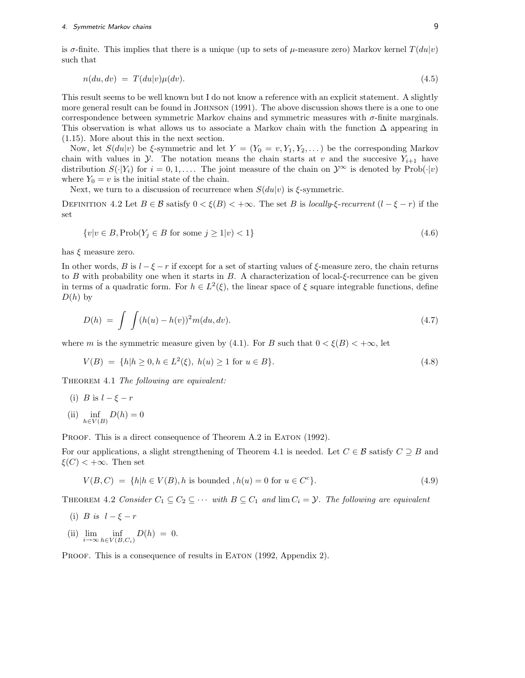is  $\sigma$ -finite. This implies that there is a unique (up to sets of  $\mu$ -measure zero) Markov kernel  $T(du|v)$ such that

$$
n(du, dv) = T(du|v)\mu(dv). \tag{4.5}
$$

This result seems to be well known but I do not know a reference with an explicit statement. A slightly more general result can be found in Johnson (1991). The above discussion shows there is a one to one correspondence between symmetric Markov chains and symmetric measures with  $\sigma$ -finite marginals. This observation is what allows us to associate a Markov chain with the function  $\Delta$  appearing in (1.15). More about this in the next section.

Now, let  $S(du|v)$  be  $\xi$ -symmetric and let  $Y = (Y_0 = v, Y_1, Y_2, ...)$  be the corresponding Markov chain with values in *Y*. The notation means the chain starts at v and the succesive  $Y_{i+1}$  have distribution  $S(\cdot|Y_i)$  for  $i = 0, 1, \ldots$ . The joint measure of the chain on  $\mathcal{Y}^{\infty}$  is denoted by Prob( $\cdot|v$ ) where  $Y_0 = v$  is the initial state of the chain.

Next, we turn to a discussion of recurrence when  $S(du|v)$  is  $\xi$ -symmetric.

DEFINITION 4.2 Let  $B \in \mathcal{B}$  satisfy  $0 < \xi(B) < +\infty$ . The set B is locally- $\xi$ -recurrent  $(l - \xi - r)$  if the set

$$
\{v|v \in B, \text{Prob}(Y_j \in B \text{ for some } j \ge 1|v) < 1\} \tag{4.6}
$$

has  $\xi$  measure zero.

In other words, B is  $l - \xi - r$  if except for a set of starting values of  $\xi$ -measure zero, the chain returns to B with probability one when it starts in  $B$ . A characterization of local- $\xi$ -recurrence can be given in terms of a quadratic form. For  $h \in L^2(\xi)$ , the linear space of  $\xi$  square integrable functions, define  $D(h)$  by

$$
D(h) = \int \int (h(u) - h(v))^2 m(du, dv).
$$
 (4.7)

where m is the symmetric measure given by (4.1). For B such that  $0 < \xi(B) < +\infty$ , let

$$
V(B) = \{h | h \ge 0, h \in L^{2}(\xi), h(u) \ge 1 \text{ for } u \in B\}.
$$
\n(4.8)

THEOREM 4.1 The following are equivalent:

(i) B is  $l - \xi - r$ (ii)  $\inf_{h \in V(B)} D(h) = 0$ 

PROOF. This is a direct consequence of Theorem A.2 in EATON (1992).

For our applications, a slight strengthening of Theorem 4.1 is needed. Let C *∈ B* satisfy C *⊇* B and  $\xi(C)$  < + $\infty$ . Then set

$$
V(B, C) = \{h | h \in V(B), h \text{ is bounded }, h(u) = 0 \text{ for } u \in C^{c}\}.
$$
\n(4.9)

THEOREM 4.2 Consider  $C_1 \subseteq C_2 \subseteq \cdots$  with  $B \subseteq C_1$  and  $\lim C_i = \mathcal{Y}$ . The following are equivalent

- (i) *B* is  $l \xi r$
- (ii)  $\lim_{i \to \infty} \inf_{h \in V(B,C_i)}$  $D(h) = 0.$

PROOF. This is a consequence of results in EATON (1992, Appendix 2).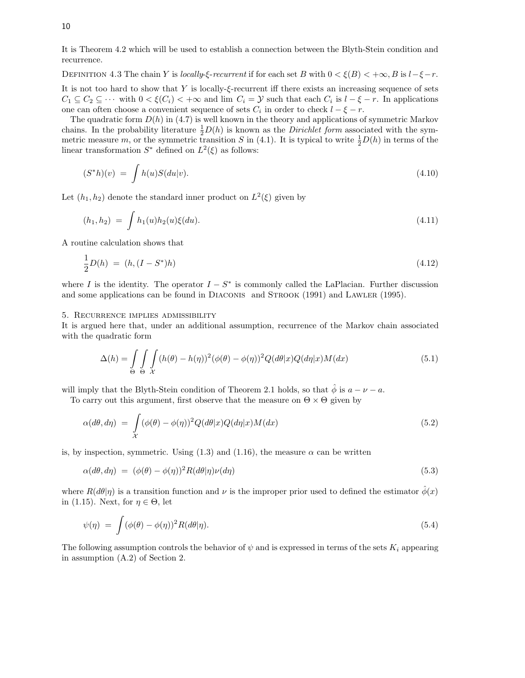It is Theorem 4.2 which will be used to establish a connection between the Blyth-Stein condition and recurrence.

DEFINITION 4.3 The chain Y is locally- $\xi$ -recurrent if for each set B with  $0 < \xi(B) < +\infty$ , B is  $l-\xi-r$ .

It is not too hard to show that Y is locally- $\xi$ -recurrent iff there exists an increasing sequence of sets  $C_1 \subseteq C_2 \subseteq \cdots$  with  $0 < \xi(C_i) < +\infty$  and lim  $C_i = \mathcal{Y}$  such that each  $C_i$  is  $l - \xi - r$ . In applications one can often choose a convenient sequence of sets  $C_i$  in order to check  $l - \xi - r$ .

The quadratic form  $D(h)$  in (4.7) is well known in the theory and applications of symmetric Markov chains. In the probability literature  $\frac{1}{2}D(h)$  is known as the *Dirichlet form* associated with the symmetric measure m, or the symmetric transition S in (4.1). It is typical to write  $\frac{1}{2}D(h)$  in terms of the linear transformation  $S^*$  defined on  $L^2(\xi)$  as follows:

$$
(S^*h)(v) = \int h(u)S(du|v). \tag{4.10}
$$

Let  $(h_1, h_2)$  denote the standard inner product on  $L^2(\xi)$  given by

$$
(h_1, h_2) = \int h_1(u)h_2(u)\xi(du). \tag{4.11}
$$

A routine calculation shows that

$$
\frac{1}{2}D(h) = (h, (I - S^*)h) \tag{4.12}
$$

where I is the identity. The operator  $I - S^*$  is commonly called the LaPlacian. Further discussion and some applications can be found in DIACONIS and STROOK (1991) and LAWLER (1995).

#### 5. Recurrence implies admissibility

It is argued here that, under an additional assumption, recurrence of the Markov chain associated with the quadratic form

$$
\Delta(h) = \int_{\Theta} \int_{\Theta} \int_{\mathcal{X}} (h(\theta) - h(\eta))^2 (\phi(\theta) - \phi(\eta))^2 Q(d\theta | x) Q(d\eta | x) M(dx)
$$
\n(5.1)

will imply that the Blyth-Stein condition of Theorem 2.1 holds, so that  $\hat{\phi}$  is  $a - \nu - a$ .

To carry out this argument, first observe that the measure on  $\Theta \times \Theta$  given by

$$
\alpha(d\theta, d\eta) = \int_{\mathcal{X}} (\phi(\theta) - \phi(\eta))^2 Q(d\theta|x) Q(d\eta|x) M(dx)
$$
\n(5.2)

is, by inspection, symmetric. Using  $(1.3)$  and  $(1.16)$ , the measure  $\alpha$  can be written

$$
\alpha(d\theta, d\eta) = (\phi(\theta) - \phi(\eta))^2 R(d\theta|\eta)\nu(d\eta)
$$
\n(5.3)

where  $R(d\theta|\eta)$  is a transition function and  $\nu$  is the improper prior used to defined the estimator  $\hat{\phi}(x)$ in (1.15). Next, for  $\eta \in \Theta$ , let

$$
\psi(\eta) = \int (\phi(\theta) - \phi(\eta))^2 R(d\theta|\eta). \tag{5.4}
$$

The following assumption controls the behavior of  $\psi$  and is expressed in terms of the sets  $K_i$  appearing in assumption (A.2) of Section 2.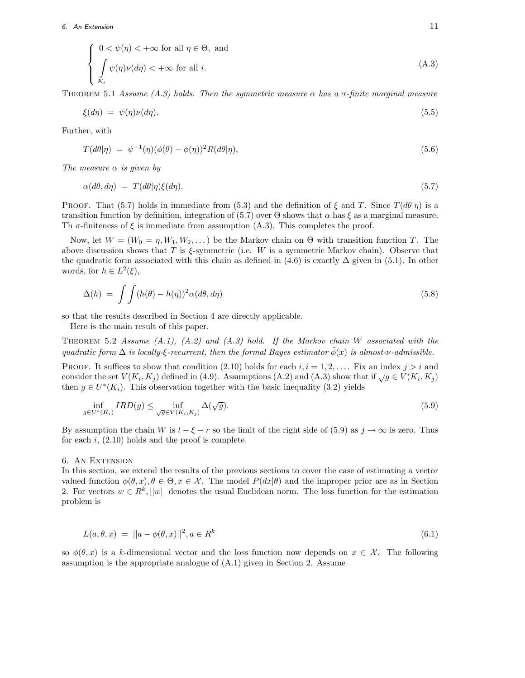## 6. An Extension  $11$

$$
\begin{cases}\n0 < \psi(\eta) < +\infty \text{ for all } \eta \in \Theta, \text{ and} \\
\int_{K_i} \psi(\eta) \nu(d\eta) < +\infty \text{ for all } i.\n\end{cases}
$$
\n(A.3)

THEOREM 5.1 Assume (A.3) holds. Then the symmetric measure  $\alpha$  has a  $\sigma$ -finite marginal measure

$$
\xi(d\eta) = \psi(\eta)\nu(d\eta). \tag{5.5}
$$

Further, with

$$
T(d\theta|\eta) = \psi^{-1}(\eta)(\phi(\theta) - \phi(\eta))^2 R(d\theta|\eta), \qquad (5.6)
$$

The measure  $\alpha$  is given by

$$
\alpha(d\theta, d\eta) = T(d\theta|\eta)\xi(d\eta). \tag{5.7}
$$

**PROOF.** That (5.7) holds in immediate from (5.3) and the definition of  $\xi$  and T. Since  $T(d\theta|\eta)$  is a transition function by definition, integration of (5.7) over  $\Theta$  shows that  $\alpha$  has  $\xi$  as a marginal measure. Th  $\sigma$ -finiteness of  $\xi$  is immediate from assumption (A.3). This completes the proof.

Now, let  $W = (W_0 = \eta, W_1, W_2, \dots)$  be the Markov chain on  $\Theta$  with transition function T. The above discussion shows that T is  $\xi$ -symmetric (i.e. W is a symmetric Markov chain). Observe that the quadratic form associated with this chain as defined in  $(4.6)$  is exactly  $\Delta$  given in (5.1). In other words, for  $h \in L^2(\xi)$ ,

$$
\Delta(h) = \int \int (h(\theta) - h(\eta))^2 \alpha(d\theta, d\eta) \tag{5.8}
$$

so that the results described in Section 4 are directly applicable.

Here is the main result of this paper.

THEOREM 5.2 Assume  $(A.1)$ ,  $(A.2)$  and  $(A.3)$  hold. If the Markov chain W associated with the quadratic form  $\Delta$  is locally-ξ-recurrent, then the formal Bayes estimator  $\phi(x)$  is almost-v-admissible.

PROOF. It suffices to show that condition (2.10) holds for each  $i, i = 1, 2, \ldots$ . Fix an index  $j > i$  and consider the set  $V(K_i, K_j)$  defined in (4.9). Assumptions (A.2) and (A.3) show that if  $\sqrt{g} \in V(K_i, K_j)$ then  $g \in U^*(K_i)$ . This observation together with the basic inequality (3.2) yields

$$
\inf_{g \in U^*(K_i)} IRD(g) \le \inf_{\sqrt{g} \in V(K_i, K_j)} \Delta(\sqrt{g}).\tag{5.9}
$$

By assumption the chain W is  $l - \xi - r$  so the limit of the right side of (5.9) as  $j \to \infty$  is zero. Thus for each  $i$ ,  $(2.10)$  holds and the proof is complete.

#### 6. An Extension

In this section, we extend the results of the previous sections to cover the case of estimating a vector valued function  $\phi(\theta, x), \theta \in \Theta, x \in \mathcal{X}$ . The model  $P(dx|\theta)$  and the improper prior are as in Section 2. For vectors  $w \in R^k$ ,  $||w||$  denotes the usual Euclidean norm. The loss function for the estimation problem is

$$
L(a, \theta, x) = ||a - \phi(\theta, x)||^2, a \in R^k
$$
\n(6.1)

so  $\phi(\theta, x)$  is a k-dimensional vector and the loss function now depends on  $x \in \mathcal{X}$ . The following assumption is the appropriate analogue of (A.1) given in Section 2. Assume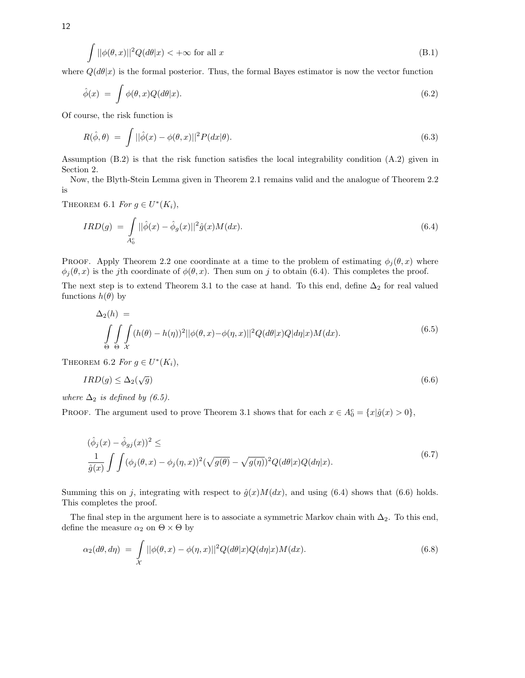$$
\int ||\phi(\theta, x)||^2 Q(d\theta|x) < +\infty \text{ for all } x
$$
\n(B.1)

where  $Q(d\theta|x)$  is the formal posterior. Thus, the formal Bayes estimator is now the vector function

$$
\hat{\phi}(x) = \int \phi(\theta, x) Q(d\theta | x). \tag{6.2}
$$

Of course, the risk function is

$$
R(\hat{\phi}, \theta) = \int ||\hat{\phi}(x) - \phi(\theta, x)||^2 P(dx|\theta).
$$
\n(6.3)

Assumption (B.2) is that the risk function satisfies the local integrability condition (A.2) given in Section 2.

Now, the Blyth-Stein Lemma given in Theorem 2.1 remains valid and the analogue of Theorem 2.2 is

THEOREM 6.1 For  $g \in U^*(K_i)$ ,

$$
IRD(g) \ = \ \int\limits_{A_0^c} ||\hat{\phi}(x) - \hat{\phi}_g(x)||^2 \hat{g}(x)M(dx). \tag{6.4}
$$

PROOF. Apply Theorem 2.2 one coordinate at a time to the problem of estimating  $\phi_i(\theta, x)$  where  $\phi_i(\theta, x)$  is the jth coordinate of  $\phi(\theta, x)$ . Then sum on j to obtain (6.4). This completes the proof.

The next step is to extend Theorem 3.1 to the case at hand. To this end, define  $\Delta_2$  for real valued functions  $h(\theta)$  by

$$
\Delta_2(h) = \int_{\Theta} \int_{\Theta} (h(\theta) - h(\eta))^2 ||\phi(\theta, x) - \phi(\eta, x)||^2 Q(d\theta | x) Q(d\eta | x) M(dx).
$$
\n(6.5)

THEOREM 6.2 For  $g \in U^*(K_i)$ ,

$$
IRD(g) \le \Delta_2(\sqrt{g})\tag{6.6}
$$

where  $\Delta_2$  is defined by (6.5).

PROOF. The argument used to prove Theorem 3.1 shows that for each  $x \in A_0^c = \{x | \hat{g}(x) > 0\}$ ,

$$
(\hat{\phi}_j(x) - \hat{\phi}_{gj}(x))^2 \le
$$
  

$$
\frac{1}{\hat{g}(x)} \int \int (\phi_j(\theta, x) - \phi_j(\eta, x))^2 (\sqrt{g(\theta)} - \sqrt{g(\eta)})^2 Q(d\theta|x) Q(d\eta|x). \tag{6.7}
$$

Summing this on j, integrating with respect to  $\hat{g}(x)M(dx)$ , and using (6.4) shows that (6.6) holds. This completes the proof.

The final step in the argument here is to associate a symmetric Markov chain with  $\Delta_2$ . To this end, define the measure  $\alpha_2$  on  $\Theta \times \Theta$  by

$$
\alpha_2(d\theta, d\eta) = \int_{\mathcal{X}} ||\phi(\theta, x) - \phi(\eta, x)||^2 Q(d\theta|x) Q(d\eta|x) M(dx).
$$
\n(6.8)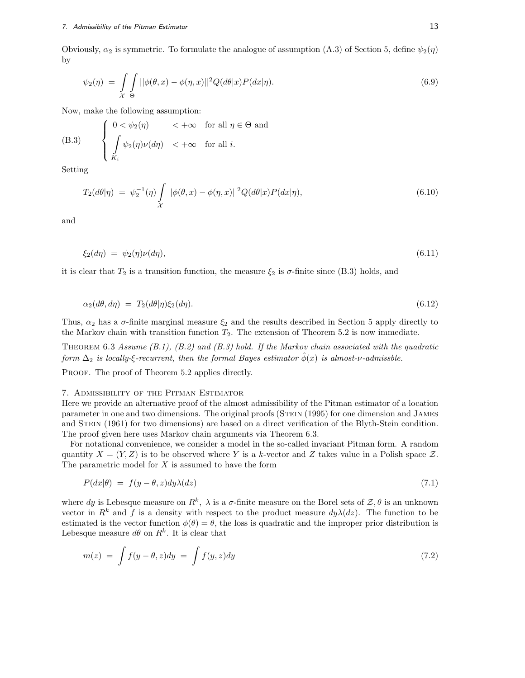Obviously,  $\alpha_2$  is symmetric. To formulate the analogue of assumption (A.3) of Section 5, define  $\psi_2(\eta)$ by

$$
\psi_2(\eta) = \int\limits_{\mathcal{X}} \int\limits_{\Theta} ||\phi(\theta, x) - \phi(\eta, x)||^2 Q(d\theta | x) P(dx | \eta). \tag{6.9}
$$

Now, make the following assumption:

(B.3) 
$$
\begin{cases} 0 < \psi_2(\eta) < +\infty \quad \text{for all } \eta \in \Theta \text{ and} \\ \int_{K_i} \psi_2(\eta) \nu(d\eta) < +\infty \quad \text{for all } i. \end{cases}
$$

Setting

$$
T_2(d\theta|\eta) \ = \ \psi_2^{-1}(\eta) \int\limits_{\mathcal{X}} ||\phi(\theta, x) - \phi(\eta, x)||^2 Q(d\theta|x) P(dx|\eta), \tag{6.10}
$$

and

$$
\xi_2(d\eta) = \psi_2(\eta)\nu(d\eta),\tag{6.11}
$$

it is clear that  $T_2$  is a transition function, the measure  $\xi_2$  is  $\sigma$ -finite since (B.3) holds, and

$$
\alpha_2(d\theta, d\eta) = T_2(d\theta|\eta)\xi_2(d\eta). \tag{6.12}
$$

Thus,  $\alpha_2$  has a  $\sigma$ -finite marginal measure  $\xi_2$  and the results described in Section 5 apply directly to the Markov chain with transition function  $T_2$ . The extension of Theorem 5.2 is now immediate.

THEOREM 6.3 Assume  $(B.1)$ ,  $(B.2)$  and  $(B.3)$  hold. If the Markov chain associated with the quadratic form  $\Delta_2$  is locally-ξ-recurrent, then the formal Bayes estimator  $\hat{\phi}(x)$  is almost-v-admissble.

PROOF. The proof of Theorem 5.2 applies directly.

#### 7. Admissibility of the Pitman Estimator

Here we provide an alternative proof of the almost admissibility of the Pitman estimator of a location parameter in one and two dimensions. The original proofs (STEIN (1995) for one dimension and JAMES and STEIN (1961) for two dimensions) are based on a direct verification of the Blyth-Stein condition. The proof given here uses Markov chain arguments via Theorem 6.3.

For notational convenience, we consider a model in the so-called invariant Pitman form. A random quantity  $X = (Y, Z)$  is to be observed where Y is a k-vector and Z takes value in a Polish space Z. The parametric model for  $X$  is assumed to have the form

$$
P(dx|\theta) = f(y - \theta, z)dy\lambda(dz)
$$
\n(7.1)

where dy is Lebesque measure on  $R^k$ ,  $\lambda$  is a  $\sigma$ -finite measure on the Borel sets of  $\mathcal{Z}, \theta$  is an unknown vector in  $R^k$  and f is a density with respect to the product measure  $dy\lambda(dz)$ . The function to be estimated is the vector function  $\phi(\theta) = \theta$ , the loss is quadratic and the improper prior distribution is Lebesque measure  $d\theta$  on  $R^k$ . It is clear that

$$
m(z) = \int f(y - \theta, z) dy = \int f(y, z) dy
$$
\n(7.2)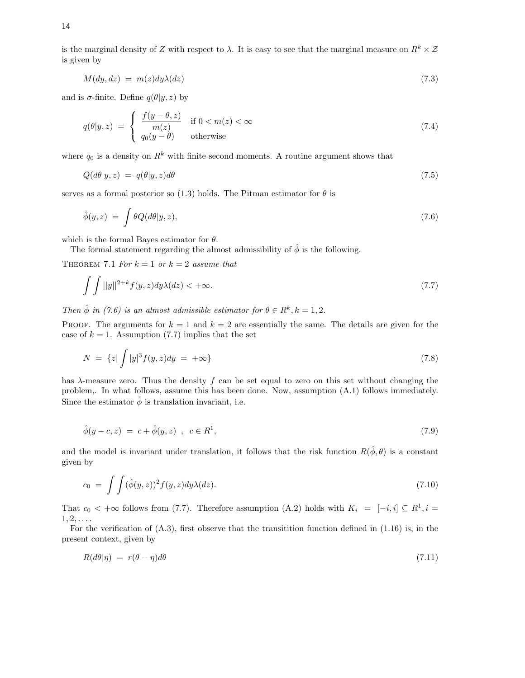$$
M(dy, dz) = m(z)dy\lambda(dz)
$$
\n(7.3)

and is  $\sigma$ -finite. Define  $q(\theta | y, z)$  by

$$
q(\theta|y,z) = \begin{cases} \frac{f(y-\theta,z)}{m(z)} & \text{if } 0 < m(z) < \infty \\ q_0(y-\theta) & \text{otherwise} \end{cases}
$$
\n(7.4)

where  $q_0$  is a density on  $R^k$  with finite second moments. A routine argument shows that

$$
Q(d\theta|y,z) = q(\theta|y,z)d\theta \tag{7.5}
$$

serves as a formal posterior so (1.3) holds. The Pitman estimator for  $\theta$  is

$$
\hat{\phi}(y,z) = \int \theta Q(d\theta | y, z), \tag{7.6}
$$

which is the formal Bayes estimator for  $\theta$ .

The formal statement regarding the almost admissibility of  $\hat{\phi}$  is the following.

THEOREM 7.1 For  $k = 1$  or  $k = 2$  assume that

$$
\int \int ||y||^{2+k} f(y, z) dy \lambda(dz) < +\infty. \tag{7.7}
$$

Then  $\hat{\phi}$  in (7.6) is an almost admissible estimator for  $\theta \in R^k$ ,  $k = 1, 2$ .

PROOF. The arguments for  $k = 1$  and  $k = 2$  are essentially the same. The details are given for the case of  $k = 1$ . Assumption (7.7) implies that the set

$$
N = \{z | \int |y|^3 f(y, z) dy = +\infty \}
$$
\n(7.8)

has  $\lambda$ -measure zero. Thus the density f can be set equal to zero on this set without changing the problem,. In what follows, assume this has been done. Now, assumption (A.1) follows immediately. Since the estimator  $\hat{\phi}$  is translation invariant, i.e.

$$
\hat{\phi}(y - c, z) = c + \hat{\phi}(y, z) , c \in R^1,
$$
\n(7.9)

and the model is invariant under translation, it follows that the risk function  $R(\hat{\phi}, \theta)$  is a constant given by

$$
c_0 = \int \int (\hat{\phi}(y, z))^2 f(y, z) dy \lambda(dz). \tag{7.10}
$$

That  $c_0 < +\infty$  follows from (7.7). Therefore assumption (A.2) holds with  $K_i = [-i, i] \subseteq R^1, i =$  $1, 2, \ldots$ .

For the verification of  $(A.3)$ , first observe that the transition function defined in  $(1.16)$  is, in the present context, given by

$$
R(d\theta|\eta) = r(\theta - \eta)d\theta \tag{7.11}
$$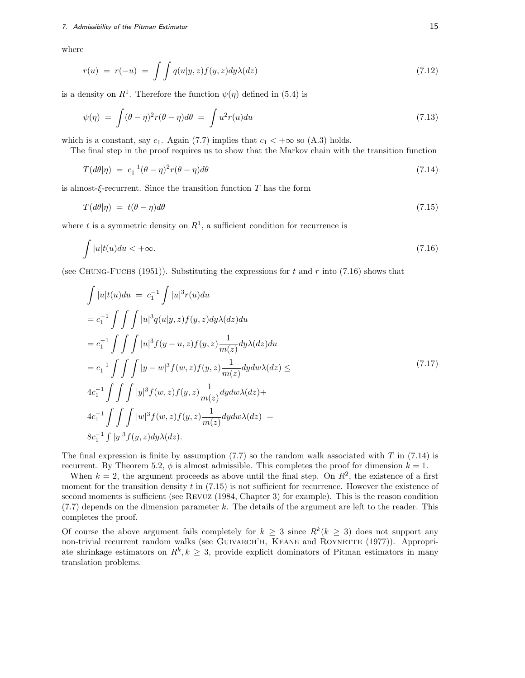### 7. Admissibility of the Pitman Estimator 15 and 2008 15 and 2008 15 and 2008 15 and 2008 15 and 2008 15 and 200

where

$$
r(u) = r(-u) = \int \int q(u|y,z)f(y,z)dy\lambda(dz)
$$
\n(7.12)

is a density on  $R^1$ . Therefore the function  $\psi(\eta)$  defined in (5.4) is

$$
\psi(\eta) = \int (\theta - \eta)^2 r (\theta - \eta) d\theta = \int u^2 r(u) du \tag{7.13}
$$

which is a constant, say  $c_1$ . Again (7.7) implies that  $c_1 < +\infty$  so (A.3) holds.

The final step in the proof requires us to show that the Markov chain with the transition function

$$
T(d\theta|\eta) = c_1^{-1}(\theta - \eta)^2 r(\theta - \eta)d\theta \tag{7.14}
$$

is almost- $\xi$ -recurrent. Since the transition function T has the form

$$
T(d\theta|\eta) = t(\theta - \eta)d\theta \tag{7.15}
$$

where t is a symmetric density on  $R^1$ , a sufficient condition for recurrence is

$$
\int |u|t(u)du < +\infty. \tag{7.16}
$$

(see CHUNG-FUCHS (1951)). Substituting the expressions for t and r into (7.16) shows that

$$
\int |u|t(u)du = c_1^{-1} \int |u|^3 r(u)du
$$
  
\n
$$
= c_1^{-1} \int \int \int |u|^3 q(u|y, z) f(y, z) dy \lambda(dz) du
$$
  
\n
$$
= c_1^{-1} \int \int \int |u|^3 f(y - u, z) f(y, z) \frac{1}{m(z)} dy \lambda(dz) du
$$
  
\n
$$
= c_1^{-1} \int \int \int |y - w|^3 f(w, z) f(y, z) \frac{1}{m(z)} dy dw \lambda(dz) \le
$$
  
\n
$$
4c_1^{-1} \int \int \int |y|^3 f(w, z) f(y, z) \frac{1}{m(z)} dy dw \lambda(dz) +
$$
  
\n
$$
4c_1^{-1} \int \int \int |w|^3 f(w, z) f(y, z) \frac{1}{m(z)} dy dw \lambda(dz) =
$$
  
\n
$$
8c_1^{-1} \int |y|^3 f(y, z) dy \lambda(dz).
$$
 (7.17)

The final expression is finite by assumption  $(7.7)$  so the random walk associated with T in  $(7.14)$  is recurrent. By Theorem 5.2,  $\phi$  is almost admissible. This completes the proof for dimension  $k = 1$ .

When  $k = 2$ , the argument proceeds as above until the final step. On  $R<sup>2</sup>$ , the existence of a first moment for the transition density t in  $(7.15)$  is not sufficient for recurrence. However the existence of second moments is sufficient (see Revuz (1984, Chapter 3) for example). This is the reason condition  $(7.7)$  depends on the dimension parameter k. The details of the argument are left to the reader. This completes the proof.

Of course the above argument fails completely for  $k \geq 3$  since  $R^k(k \geq 3)$  does not support any non-trivial recurrent random walks (see GUIVARCH'H, KEANE and ROYNETTE (1977)). Appropriate shrinkage estimators on  $R^k, k \geq 3$ , provide explicit dominators of Pitman estimators in many translation problems.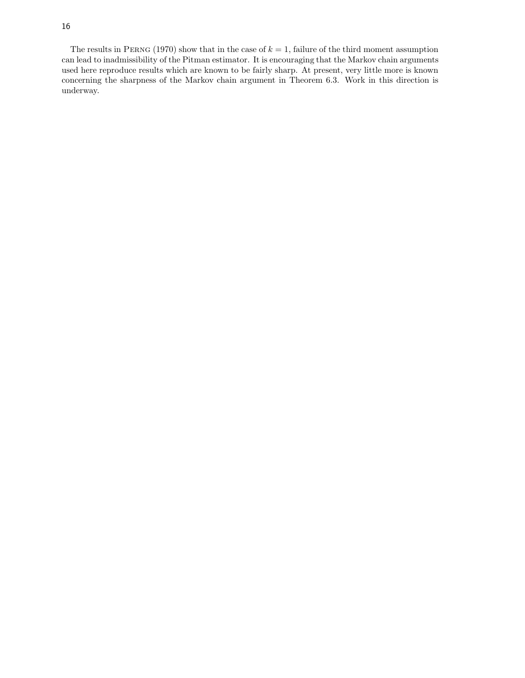The results in PERNG (1970) show that in the case of  $k = 1$ , failure of the third moment assumption can lead to inadmissibility of the Pitman estimator. It is encouraging that the Markov chain arguments used here reproduce results which are known to be fairly sharp. At present, very little more is known concerning the sharpness of the Markov chain argument in Theorem 6.3. Work in this direction is underway.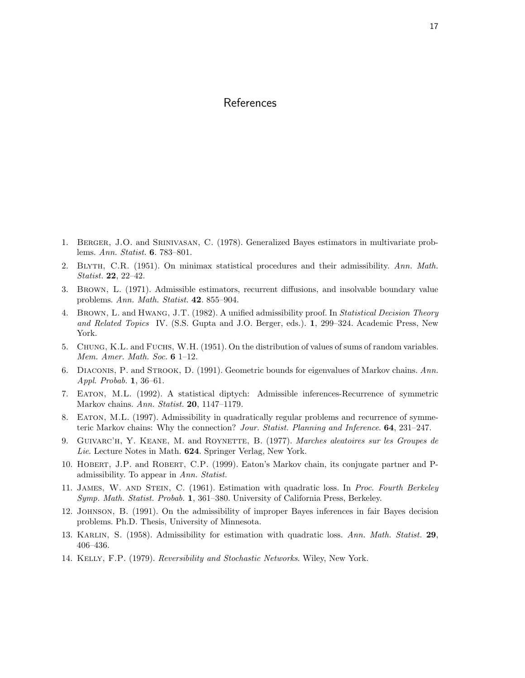## References

- 1. Berger, J.O. and Srinivasan, C. (1978). Generalized Bayes estimators in multivariate problems. Ann. Statist. **6**. 783–801.
- 2. Blyth, C.R. (1951). On minimax statistical procedures and their admissibility. Ann. Math. Statist. **22**, 22–42.
- 3. Brown, L. (1971). Admissible estimators, recurrent diffusions, and insolvable boundary value problems. Ann. Math. Statist. **42**. 855–904.
- 4. BROWN, L. and HWANG, J.T. (1982). A unified admissibility proof. In Statistical Decision Theory and Related Topics IV. (S.S. Gupta and J.O. Berger, eds.). **1**, 299–324. Academic Press, New York.
- 5. Chung, K.L. and Fuchs, W.H. (1951). On the distribution of values of sums of random variables. Mem. Amer. Math. Soc. **6** 1–12.
- 6. Diaconis, P. and Strook, D. (1991). Geometric bounds for eigenvalues of Markov chains. Ann. Appl. Probab. **1**, 36–61.
- 7. Eaton, M.L. (1992). A statistical diptych: Admissible inferences-Recurrence of symmetric Markov chains. Ann. Statist. **20**, 1147–1179.
- 8. Eaton, M.L. (1997). Admissibility in quadratically regular problems and recurrence of symmeteric Markov chains: Why the connection? Jour. Statist. Planning and Inference. **64**, 231–247.
- 9. Guivarc'h, Y. Keane, M. and Roynette, B. (1977). Marches aleatoires sur les Groupes de Lie. Lecture Notes in Math. **624**. Springer Verlag, New York.
- 10. Hobert, J.P. and Robert, C.P. (1999). Eaton's Markov chain, its conjugate partner and Padmissibility. To appear in Ann. Statist.
- 11. JAMES, W. AND STEIN, C. (1961). Estimation with quadratic loss. In Proc. Fourth Berkeley Symp. Math. Statist. Probab. **1**, 361–380. University of California Press, Berkeley.
- 12. Johnson, B. (1991). On the admissibility of improper Bayes inferences in fair Bayes decision problems. Ph.D. Thesis, University of Minnesota.
- 13. Karlin, S. (1958). Admissibility for estimation with quadratic loss. Ann. Math. Statist. **29**, 406–436.
- 14. Kelly, F.P. (1979). Reversibility and Stochastic Networks. Wiley, New York.